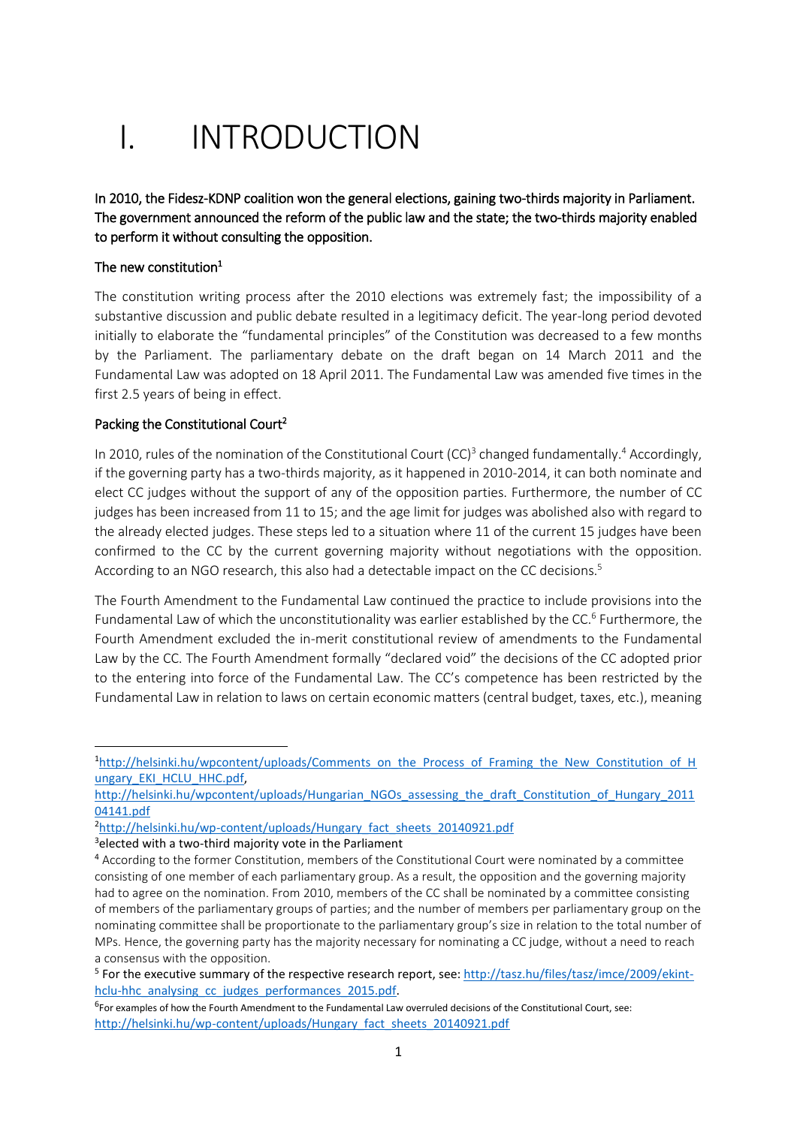# I. INTRODUCTION

In 2010, the Fidesz-KDNP coalition won the general elections, gaining two-thirds majority in Parliament. The government announced the reform of the public law and the state; the two-thirds majority enabled to perform it without consulting the opposition.

## The new constitution $^1$

**.** 

The constitution writing process after the 2010 elections was extremely fast; the impossibility of a substantive discussion and public debate resulted in a legitimacy deficit. The year-long period devoted initially to elaborate the "fundamental principles" of the Constitution was decreased to a few months by the Parliament. The parliamentary debate on the draft began on 14 March 2011 and the Fundamental Law was adopted on 18 April 2011. The Fundamental Law was amended five times in the first 2.5 years of being in effect.

## Packing the Constitutional Court<sup>2</sup>

In 2010, rules of the nomination of the Constitutional Court (CC)<sup>3</sup> changed fundamentally.<sup>4</sup> Accordingly, if the governing party has a two-thirds majority, as it happened in 2010-2014, it can both nominate and elect CC judges without the support of any of the opposition parties. Furthermore, the number of CC judges has been increased from 11 to 15; and the age limit for judges was abolished also with regard to the already elected judges. These steps led to a situation where 11 of the current 15 judges have been confirmed to the CC by the current governing majority without negotiations with the opposition. According to an NGO research, this also had a detectable impact on the CC decisions. 5

The Fourth Amendment to the Fundamental Law continued the practice to include provisions into the Fundamental Law of which the unconstitutionality was earlier established by the CC.<sup>6</sup> Furthermore, the Fourth Amendment excluded the in-merit constitutional review of amendments to the Fundamental Law by the CC. The Fourth Amendment formally "declared void" the decisions of the CC adopted prior to the entering into force of the Fundamental Law. The CC's competence has been restricted by the Fundamental Law in relation to laws on certain economic matters (central budget, taxes, etc.), meaning

<sup>&</sup>lt;sup>1</sup>[http://helsinki.hu/wpcontent/uploads/Comments\\_on\\_the\\_Process\\_of\\_Framing\\_the\\_New\\_Constitution\\_of\\_H](http://helsinki.hu/wpcontent/uploads/Comments_on_the_Process_of_Framing_the_New_Constitution_of_Hungary_EKI_HCLU_HHC.pdf) ungary\_EKI\_HCLU\_HHC.pdf,

[http://helsinki.hu/wpcontent/uploads/Hungarian\\_NGOs\\_assessing\\_the\\_draft\\_Constitution\\_of\\_Hungary\\_2011](http://helsinki.hu/wpcontent/uploads/Hungarian_NGOs_assessing_the_draft_Constitution_of_Hungary_201104141.pdf) [04141.pdf](http://helsinki.hu/wpcontent/uploads/Hungarian_NGOs_assessing_the_draft_Constitution_of_Hungary_201104141.pdf)

<sup>&</sup>lt;sup>2</sup>[http://helsinki.hu/wp-content/uploads/Hungary\\_fact\\_sheets\\_20140921.pdf](http://helsinki.hu/wp-content/uploads/Hungary_fact_sheets_20140921.pdf)

<sup>&</sup>lt;sup>3</sup>elected with a two-third majority vote in the Parliament

<sup>&</sup>lt;sup>4</sup> According to the former Constitution, members of the Constitutional Court were nominated by a committee consisting of one member of each parliamentary group. As a result, the opposition and the governing majority had to agree on the nomination. From 2010, members of the CC shall be nominated by a committee consisting of members of the parliamentary groups of parties; and the number of members per parliamentary group on the nominating committee shall be proportionate to the parliamentary group's size in relation to the total number of MPs. Hence, the governing party has the majority necessary for nominating a CC judge, without a need to reach a consensus with the opposition.

<sup>&</sup>lt;sup>5</sup> For the executive summary of the respective research report, see[: http://tasz.hu/files/tasz/imce/2009/ekint](http://tasz.hu/files/tasz/imce/2009/ekint-hclu-hhc_analysing_cc_judges_performances_2015.pdf)[hclu-hhc\\_analysing\\_cc\\_judges\\_performances\\_2015.pdf.](http://tasz.hu/files/tasz/imce/2009/ekint-hclu-hhc_analysing_cc_judges_performances_2015.pdf)

<sup>&</sup>lt;sup>6</sup>For examples of how the Fourth Amendment to the Fundamental Law overruled decisions of the Constitutional Court, see: [http://helsinki.hu/wp-content/uploads/Hungary\\_fact\\_sheets\\_20140921.pdf](http://helsinki.hu/wp-content/uploads/Hungary_fact_sheets_20140921.pdf)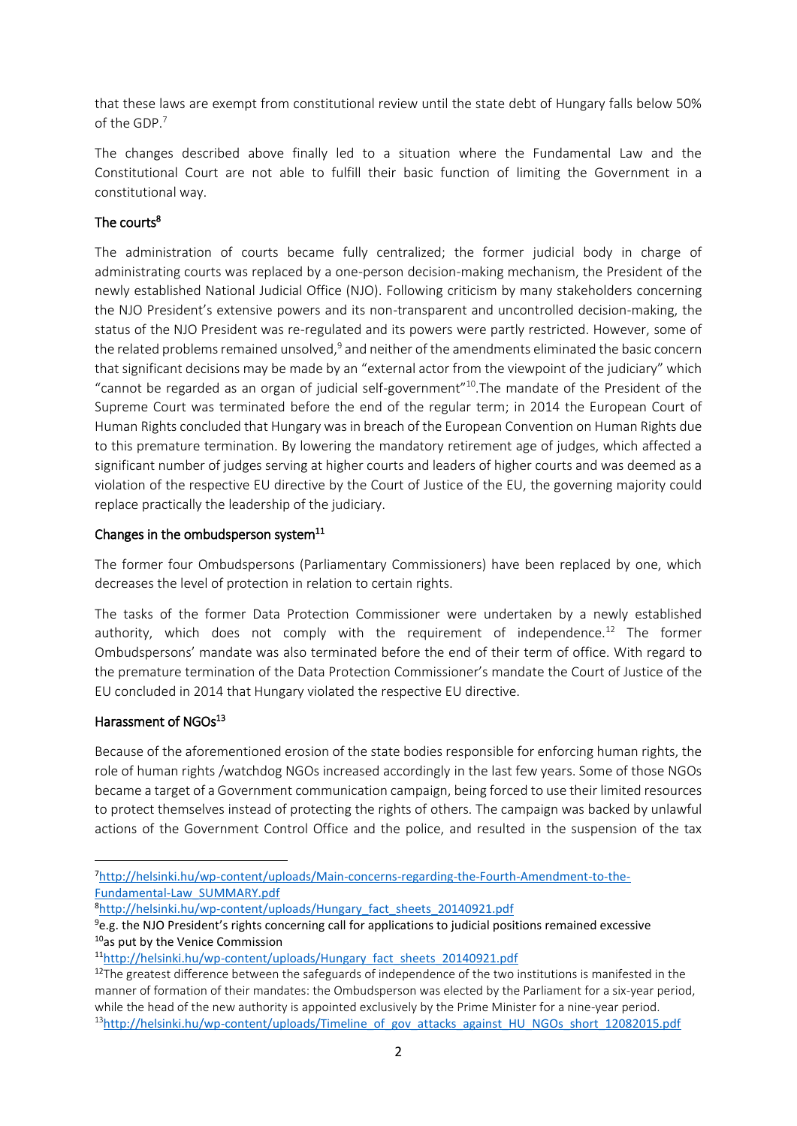that these laws are exempt from constitutional review until the state debt of Hungary falls below 50% of the GDP.<sup>7</sup>

The changes described above finally led to a situation where the Fundamental Law and the Constitutional Court are not able to fulfill their basic function of limiting the Government in a constitutional way.

## The courts<sup>8</sup>

The administration of courts became fully centralized; the former judicial body in charge of administrating courts was replaced by a one-person decision-making mechanism, the President of the newly established National Judicial Office (NJO). Following criticism by many stakeholders concerning the NJO President's extensive powers and its non-transparent and uncontrolled decision-making, the status of the NJO President was re-regulated and its powers were partly restricted. However, some of the related problems remained unsolved,<sup>9</sup> and neither of the amendments eliminated the basic concern that significant decisions may be made by an "external actor from the viewpoint of the judiciary" which "cannot be regarded as an organ of judicial self-government"<sup>10</sup>.The mandate of the President of the Supreme Court was terminated before the end of the regular term; in 2014 the European Court of Human Rights concluded that Hungary was in breach of the European Convention on Human Rights due to this premature termination. By lowering the mandatory retirement age of judges, which affected a significant number of judges serving at higher courts and leaders of higher courts and was deemed as a violation of the respective EU directive by the Court of Justice of the EU, the governing majority could replace practically the leadership of the judiciary.

## Changes in the ombudsperson system $^{11}$

The former four Ombudspersons (Parliamentary Commissioners) have been replaced by one, which decreases the level of protection in relation to certain rights.

The tasks of the former Data Protection Commissioner were undertaken by a newly established authority, which does not comply with the requirement of independence.<sup>12</sup> The former Ombudspersons' mandate was also terminated before the end of their term of office. With regard to the premature termination of the Data Protection Commissioner's mandate the Court of Justice of the EU concluded in 2014 that Hungary violated the respective EU directive.

## Harassment of NGOs<sup>13</sup>

**.** 

Because of the aforementioned erosion of the state bodies responsible for enforcing human rights, the role of human rights /watchdog NGOs increased accordingly in the last few years. Some of those NGOs became a target of a Government communication campaign, being forced to use their limited resources to protect themselves instead of protecting the rights of others. The campaign was backed by unlawful actions of the Government Control Office and the police, and resulted in the suspension of the tax

<sup>7</sup>[http://helsinki.hu/wp-content/uploads/Main-concerns-regarding-the-Fourth-Amendment-to-the-](http://helsinki.hu/wp-content/uploads/Main-concerns-regarding-the-Fourth-Amendment-to-the-Fundamental-Law_SUMMARY.pdf)[Fundamental-Law\\_SUMMARY.pdf](http://helsinki.hu/wp-content/uploads/Main-concerns-regarding-the-Fourth-Amendment-to-the-Fundamental-Law_SUMMARY.pdf)

<sup>&</sup>lt;sup>8</sup>http://helsinki.hu/wp-content/uploads/Hungary fact sheets 20140921.pdf

 $9e.g.$  the NJO President's rights concerning call for applications to judicial positions remained excessive <sup>10</sup>as put by the Venice Commission

<sup>11</sup>[http://helsinki.hu/wp-content/uploads/Hungary\\_fact\\_sheets\\_20140921.pdf](http://helsinki.hu/wp-content/uploads/Hungary_fact_sheets_20140921.pdf)

 $12$ The greatest difference between the safeguards of independence of the two institutions is manifested in the manner of formation of their mandates: the Ombudsperson was elected by the Parliament for a six-year period, while the head of the new authority is appointed exclusively by the Prime Minister for a nine-year period. <sup>13</sup>[http://helsinki.hu/wp-content/uploads/Timeline\\_of\\_gov\\_attacks\\_against\\_HU\\_NGOs\\_short\\_12082015.pdf](http://helsinki.hu/wp-content/uploads/Timeline_of_gov_attacks_against_HU_NGOs_short_12082015.pdf)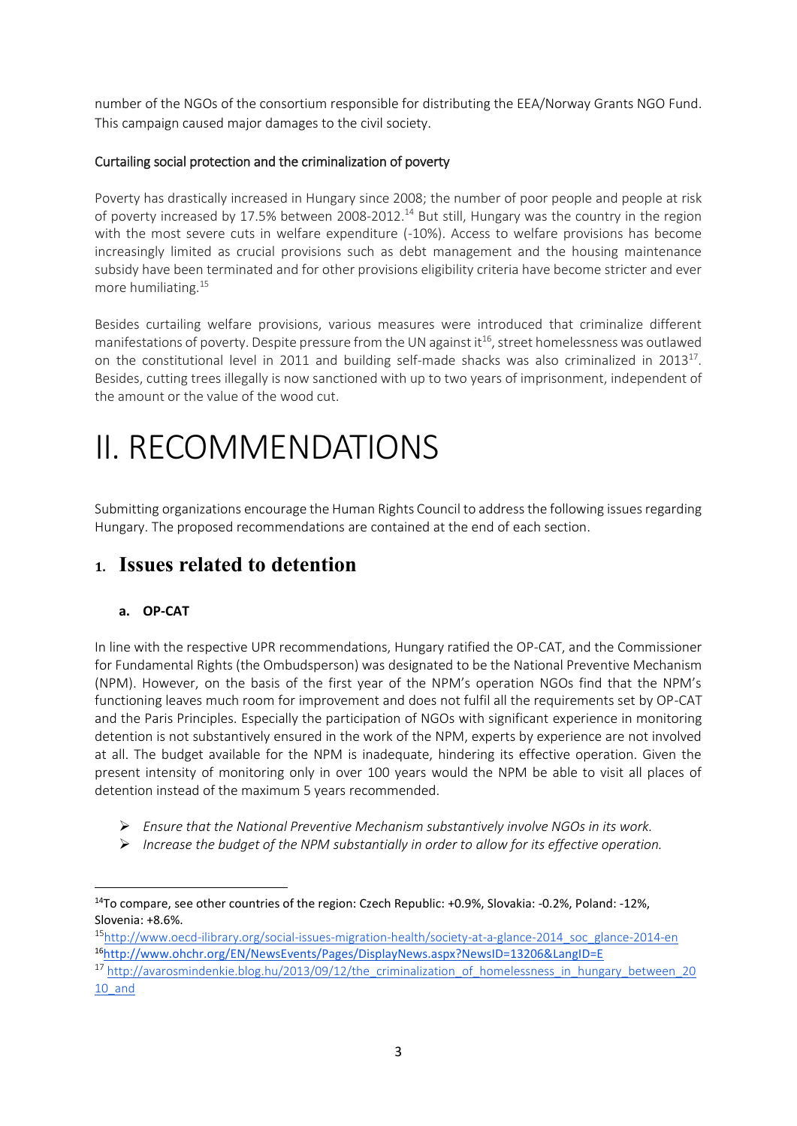number of the NGOs of the consortium responsible for distributing the EEA/Norway Grants NGO Fund. This campaign caused major damages to the civil society.

## Curtailing social protection and the criminalization of poverty

Poverty has drastically increased in Hungary since 2008; the number of poor people and people at risk of poverty increased by 17.5% between 2008-2012.<sup>14</sup> But still, Hungary was the country in the region with the most severe cuts in welfare expenditure (-10%). Access to welfare provisions has become increasingly limited as crucial provisions such as debt management and the housing maintenance subsidy have been terminated and for other provisions eligibility criteria have become stricter and ever more humiliating.<sup>15</sup>

Besides curtailing welfare provisions, various measures were introduced that criminalize different manifestations of poverty. Despite pressure from the UN against it<sup>16</sup>, street homelessness was outlawed on the constitutional level in 2011 and building self-made shacks was also criminalized in 2013<sup>17</sup>. Besides, cutting trees illegally is now sanctioned with up to two years of imprisonment, independent of the amount or the value of the wood cut.

# II. RECOMMENDATIONS

Submitting organizations encourage the Human Rights Council to address the following issues regarding Hungary. The proposed recommendations are contained at the end of each section.

# **1. Issues related to detention**

## **a. OP-CAT**

In line with the respective UPR recommendations, Hungary ratified the OP-CAT, and the Commissioner for Fundamental Rights (the Ombudsperson) was designated to be the National Preventive Mechanism (NPM). However, on the basis of the first year of the NPM's operation NGOs find that the NPM's functioning leaves much room for improvement and does not fulfil all the requirements set by OP-CAT and the Paris Principles. Especially the participation of NGOs with significant experience in monitoring detention is not substantively ensured in the work of the NPM, experts by experience are not involved at all. The budget available for the NPM is inadequate, hindering its effective operation. Given the present intensity of monitoring only in over 100 years would the NPM be able to visit all places of detention instead of the maximum 5 years recommended.

- *Ensure that the National Preventive Mechanism substantively involve NGOs in its work.*
- *Increase the budget of the NPM substantially in order to allow for its effective operation.*

 $\overline{\phantom{a}}$ <sup>14</sup>To compare, see other countries of the region: Czech Republic: +0.9%, Slovakia: -0.2%, Poland: -12%, Slovenia: +8.6%.

<sup>15</sup>[http://www.oecd-ilibrary.org/social-issues-migration-health/society-at-a-glance-2014\\_soc\\_glance-2014-en](http://www.oecd-ilibrary.org/social-issues-migration-health/society-at-a-glance-2014_soc_glance-2014-en) <sup>16</sup><http://www.ohchr.org/EN/NewsEvents/Pages/DisplayNews.aspx?NewsID=13206&LangID=E>

<sup>&</sup>lt;sup>17</sup> [http://avarosmindenkie.blog.hu/2013/09/12/the\\_criminalization\\_of\\_homelessness\\_in\\_hungary\\_between\\_20](http://avarosmindenkie.blog.hu/2013/09/12/the_criminalization_of_homelessness_in_hungary_between_2010_and) [10\\_and](http://avarosmindenkie.blog.hu/2013/09/12/the_criminalization_of_homelessness_in_hungary_between_2010_and)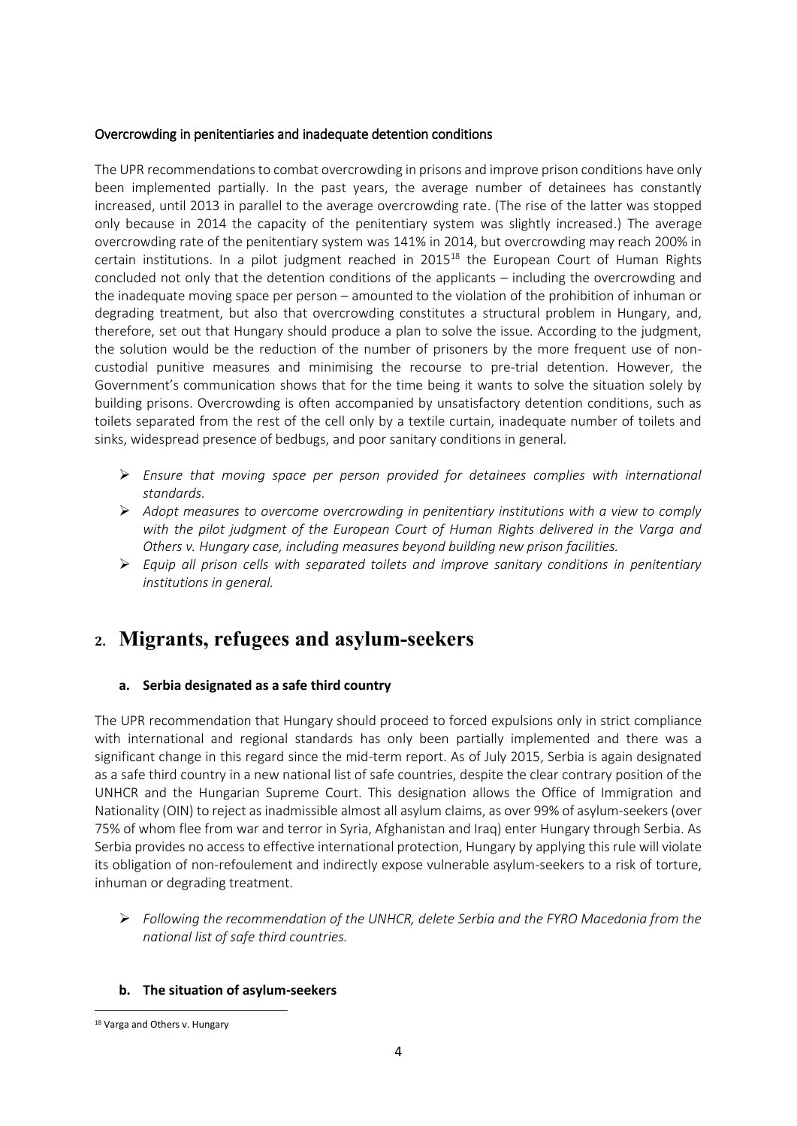#### Overcrowding in penitentiaries and inadequate detention conditions

The UPR recommendations to combat overcrowding in prisons and improve prison conditions have only been implemented partially. In the past years, the average number of detainees has constantly increased, until 2013 in parallel to the average overcrowding rate. (The rise of the latter was stopped only because in 2014 the capacity of the penitentiary system was slightly increased.) The average overcrowding rate of the penitentiary system was 141% in 2014, but overcrowding may reach 200% in certain institutions. In a pilot judgment reached in 2015<sup>18</sup> the European Court of Human Rights concluded not only that the detention conditions of the applicants – including the overcrowding and the inadequate moving space per person – amounted to the violation of the prohibition of inhuman or degrading treatment, but also that overcrowding constitutes a structural problem in Hungary, and, therefore, set out that Hungary should produce a plan to solve the issue. According to the judgment, the solution would be the reduction of the number of prisoners by the more frequent use of noncustodial punitive measures and minimising the recourse to pre-trial detention. However, the Government's communication shows that for the time being it wants to solve the situation solely by building prisons. Overcrowding is often accompanied by unsatisfactory detention conditions, such as toilets separated from the rest of the cell only by a textile curtain, inadequate number of toilets and sinks, widespread presence of bedbugs, and poor sanitary conditions in general.

- *Ensure that moving space per person provided for detainees complies with international standards.*
- *Adopt measures to overcome overcrowding in penitentiary institutions with a view to comply with the pilot judgment of the European Court of Human Rights delivered in the Varga and Others v. Hungary case, including measures beyond building new prison facilities.*
- *Equip all prison cells with separated toilets and improve sanitary conditions in penitentiary institutions in general.*

# **2. Migrants, refugees and asylum-seekers**

### **a. Serbia designated as a safe third country**

The UPR recommendation that Hungary should proceed to forced expulsions only in strict compliance with international and regional standards has only been partially implemented and there was a significant change in this regard since the mid-term report. As of July 2015, Serbia is again designated as a safe third country in a new national list of safe countries, despite the clear contrary position of the UNHCR and the Hungarian Supreme Court. This designation allows the Office of Immigration and Nationality (OIN) to reject as inadmissible almost all asylum claims, as over 99% of asylum-seekers (over 75% of whom flee from war and terror in Syria, Afghanistan and Iraq) enter Hungary through Serbia. As Serbia provides no access to effective international protection, Hungary by applying this rule will violate its obligation of non-refoulement and indirectly expose vulnerable asylum-seekers to a risk of torture, inhuman or degrading treatment.

 *Following the recommendation of the UNHCR, delete Serbia and the FYRO Macedonia from the national list of safe third countries.*

#### **b. The situation of asylum-seekers**

<sup>1</sup> 18 Varga and Others v. Hungary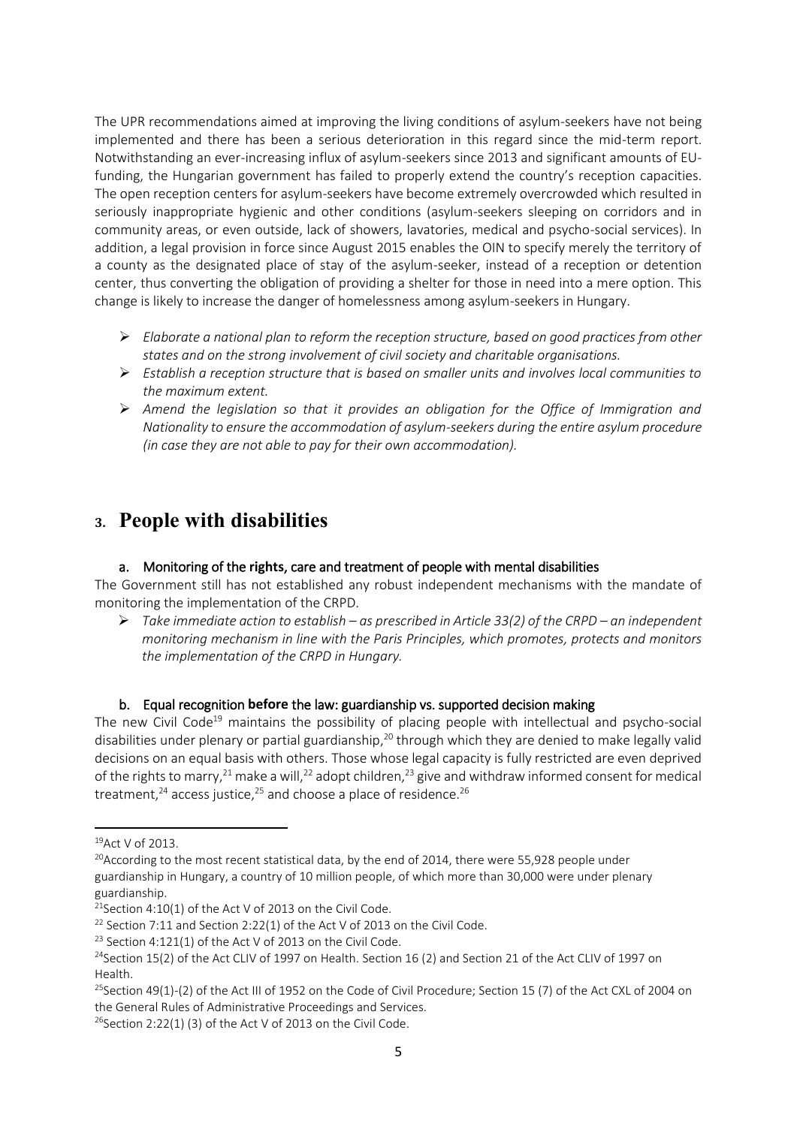The UPR recommendations aimed at improving the living conditions of asylum-seekers have not being implemented and there has been a serious deterioration in this regard since the mid-term report. Notwithstanding an ever-increasing influx of asylum-seekers since 2013 and significant amounts of EUfunding, the Hungarian government has failed to properly extend the country's reception capacities. The open reception centers for asylum-seekers have become extremely overcrowded which resulted in seriously inappropriate hygienic and other conditions (asylum-seekers sleeping on corridors and in community areas, or even outside, lack of showers, lavatories, medical and psycho-social services). In addition, a legal provision in force since August 2015 enables the OIN to specify merely the territory of a county as the designated place of stay of the asylum-seeker, instead of a reception or detention center, thus converting the obligation of providing a shelter for those in need into a mere option. This change is likely to increase the danger of homelessness among asylum-seekers in Hungary.

- *Elaborate a national plan to reform the reception structure, based on good practices from other states and on the strong involvement of civil society and charitable organisations.*
- *Establish a reception structure that is based on smaller units and involves local communities to the maximum extent.*
- *Amend the legislation so that it provides an obligation for the Office of Immigration and Nationality to ensure the accommodation of asylum-seekers during the entire asylum procedure (in case they are not able to pay for their own accommodation).*

# **3. People with disabilities**

### a. Monitoring of the **rights**, care and treatment of people with mental disabilities

The Government still has not established any robust independent mechanisms with the mandate of monitoring the implementation of the CRPD.

 *Take immediate action to establish – as prescribed in Article 33(2) of the CRPD – an independent monitoring mechanism in line with the Paris Principles, which promotes, protects and monitors the implementation of the CRPD in Hungary.* 

#### b. Equal recognition **before** the law: guardianship vs. supported decision making

The new Civil Code<sup>19</sup> maintains the possibility of placing people with intellectual and psycho-social disabilities under plenary or partial guardianship,<sup>20</sup> through which they are denied to make legally valid decisions on an equal basis with others. Those whose legal capacity is fully restricted are even deprived of the rights to marry,  $21$  make a will,  $22$  adopt children,  $23$  give and withdraw informed consent for medical treatment, $24$  access justice, $25$  and choose a place of residence. $26$ 

**.** 

<sup>19</sup>Act V of 2013.

<sup>&</sup>lt;sup>20</sup>According to the most recent statistical data, by the end of 2014, there were 55,928 people under guardianship in Hungary, a country of 10 million people, of which more than 30,000 were under plenary guardianship.

<sup>&</sup>lt;sup>21</sup>Section 4:10(1) of the Act V of 2013 on the Civil Code.

 $22$  Section 7:11 and Section 2:22(1) of the Act V of 2013 on the Civil Code.

 $23$  Section 4:121(1) of the Act V of 2013 on the Civil Code.

<sup>&</sup>lt;sup>24</sup>Section 15(2) of the Act CLIV of 1997 on Health. Section 16 (2) and Section 21 of the Act CLIV of 1997 on Health.

<sup>&</sup>lt;sup>25</sup>Section 49(1)-(2) of the Act III of 1952 on the Code of Civil Procedure; Section 15 (7) of the Act CXL of 2004 on the General Rules of Administrative Proceedings and Services.

 $26$ Section 2:22(1) (3) of the Act V of 2013 on the Civil Code.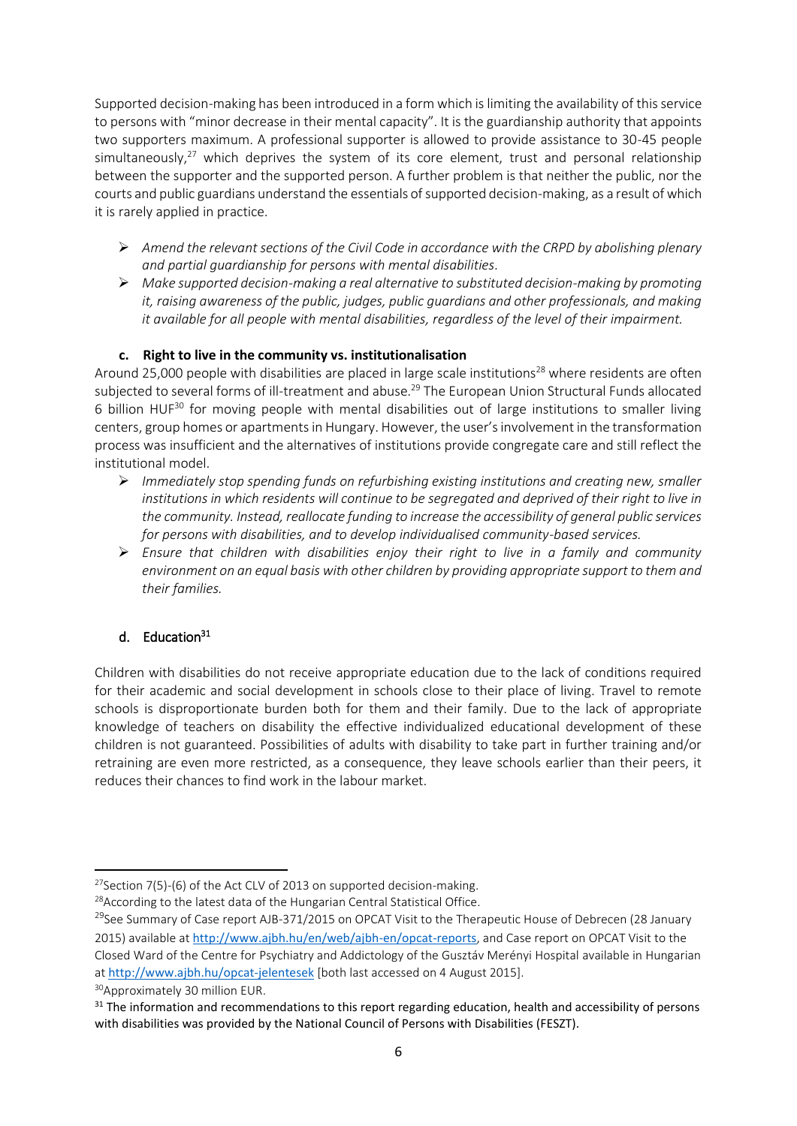Supported decision-making has been introduced in a form which is limiting the availability of this service to persons with "minor decrease in their mental capacity". It is the guardianship authority that appoints two supporters maximum. A professional supporter is allowed to provide assistance to 30-45 people simultaneously, $27$  which deprives the system of its core element, trust and personal relationship between the supporter and the supported person. A further problem is that neither the public, nor the courts and public guardians understand the essentials of supported decision-making, as a result of which it is rarely applied in practice.

- *Amend the relevant sections of the Civil Code in accordance with the CRPD by abolishing plenary and partial guardianship for persons with mental disabilities.*
- *Make supported decision-making a real alternative to substituted decision-making by promoting it, raising awareness of the public, judges, public guardians and other professionals, and making it available for all people with mental disabilities, regardless of the level of their impairment.*

### **c. Right to live in the community vs. institutionalisation**

Around 25,000 people with disabilities are placed in large scale institutions<sup>28</sup> where residents are often subjected to several forms of ill-treatment and abuse.<sup>29</sup> The European Union Structural Funds allocated 6 billion HUF $30$  for moving people with mental disabilities out of large institutions to smaller living centers, group homes or apartmentsin Hungary. However, the user's involvement in the transformation process was insufficient and the alternatives of institutions provide congregate care and still reflect the institutional model.

- *Immediately stop spending funds on refurbishing existing institutions and creating new, smaller institutions in which residents will continue to be segregated and deprived of their right to live in the community. Instead, reallocate funding to increase the accessibility of general public services for persons with disabilities, and to develop individualised community-based services.*
- *Ensure that children with disabilities enjoy their right to live in a family and community environment on an equal basis with other children by providing appropriate support to them and their families.*

## d. Education<sup>31</sup>

Children with disabilities do not receive appropriate education due to the lack of conditions required for their academic and social development in schools close to their place of living. Travel to remote schools is disproportionate burden both for them and their family. Due to the lack of appropriate knowledge of teachers on disability the effective individualized educational development of these children is not guaranteed. Possibilities of adults with disability to take part in further training and/or retraining are even more restricted, as a consequence, they leave schools earlier than their peers, it reduces their chances to find work in the labour market.

 $\overline{\phantom{a}}$ 

<sup>&</sup>lt;sup>27</sup>Section 7(5)-(6) of the Act CLV of 2013 on supported decision-making.

<sup>&</sup>lt;sup>28</sup> According to the latest data of the Hungarian Central Statistical Office.

 $^{29}$ See Summary of Case report AJB-371/2015 on OPCAT Visit to the Therapeutic House of Debrecen (28 January 2015) available at <http://www.ajbh.hu/en/web/ajbh-en/opcat-reports>, and Case report on OPCAT Visit to the Closed Ward of the Centre for Psychiatry and Addictology of the Gusztáv Merényi Hospital available in Hungarian at <http://www.ajbh.hu/opcat-jelentesek> [both last accessed on 4 August 2015].

<sup>30</sup>Approximately 30 million EUR.

<sup>&</sup>lt;sup>31</sup> The information and recommendations to this report regarding education, health and accessibility of persons with disabilities was provided by the National Council of Persons with Disabilities (FESZT).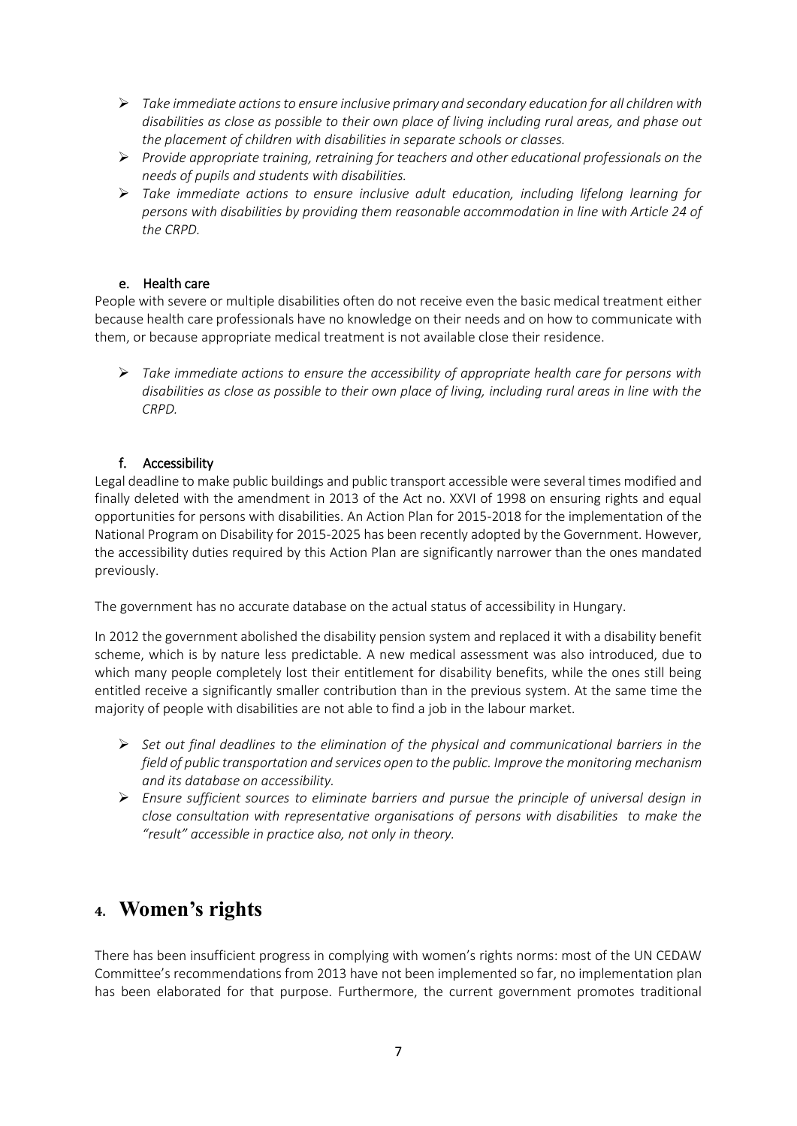- *Take immediate actions to ensure inclusive primary and secondary education for all children with disabilities as close as possible to their own place of living including rural areas, and phase out the placement of children with disabilities in separate schools or classes.*
- *Provide appropriate training, retraining for teachers and other educational professionals on the needs of pupils and students with disabilities.*
- *Take immediate actions to ensure inclusive adult education, including lifelong learning for persons with disabilities by providing them reasonable accommodation in line with Article 24 of the CRPD.*

### e. Health care

People with severe or multiple disabilities often do not receive even the basic medical treatment either because health care professionals have no knowledge on their needs and on how to communicate with them, or because appropriate medical treatment is not available close their residence.

 *Take immediate actions to ensure the accessibility of appropriate health care for persons with disabilities as close as possible to their own place of living, including rural areas in line with the CRPD.*

## f. Accessibility

Legal deadline to make public buildings and public transport accessible were several times modified and finally deleted with the amendment in 2013 of the Act no. XXVI of 1998 on ensuring rights and equal opportunities for persons with disabilities. An Action Plan for 2015-2018 for the implementation of the National Program on Disability for 2015-2025 has been recently adopted by the Government. However, the accessibility duties required by this Action Plan are significantly narrower than the ones mandated previously.

The government has no accurate database on the actual status of accessibility in Hungary.

In 2012 the government abolished the disability pension system and replaced it with a disability benefit scheme, which is by nature less predictable. A new medical assessment was also introduced, due to which many people completely lost their entitlement for disability benefits, while the ones still being entitled receive a significantly smaller contribution than in the previous system. At the same time the majority of people with disabilities are not able to find a job in the labour market.

- *Set out final deadlines to the elimination of the physical and communicational barriers in the field of public transportation and services open to the public. Improve the monitoring mechanism and its database on accessibility.*
- *Ensure sufficient sources to eliminate barriers and pursue the principle of universal design in close consultation with representative organisations of persons with disabilities to make the "result" accessible in practice also, not only in theory.*

# **4. Women's rights**

There has been insufficient progress in complying with women's rights norms: most of the UN CEDAW Committee's recommendations from 2013 have not been implemented so far, no implementation plan has been elaborated for that purpose. Furthermore, the current government promotes traditional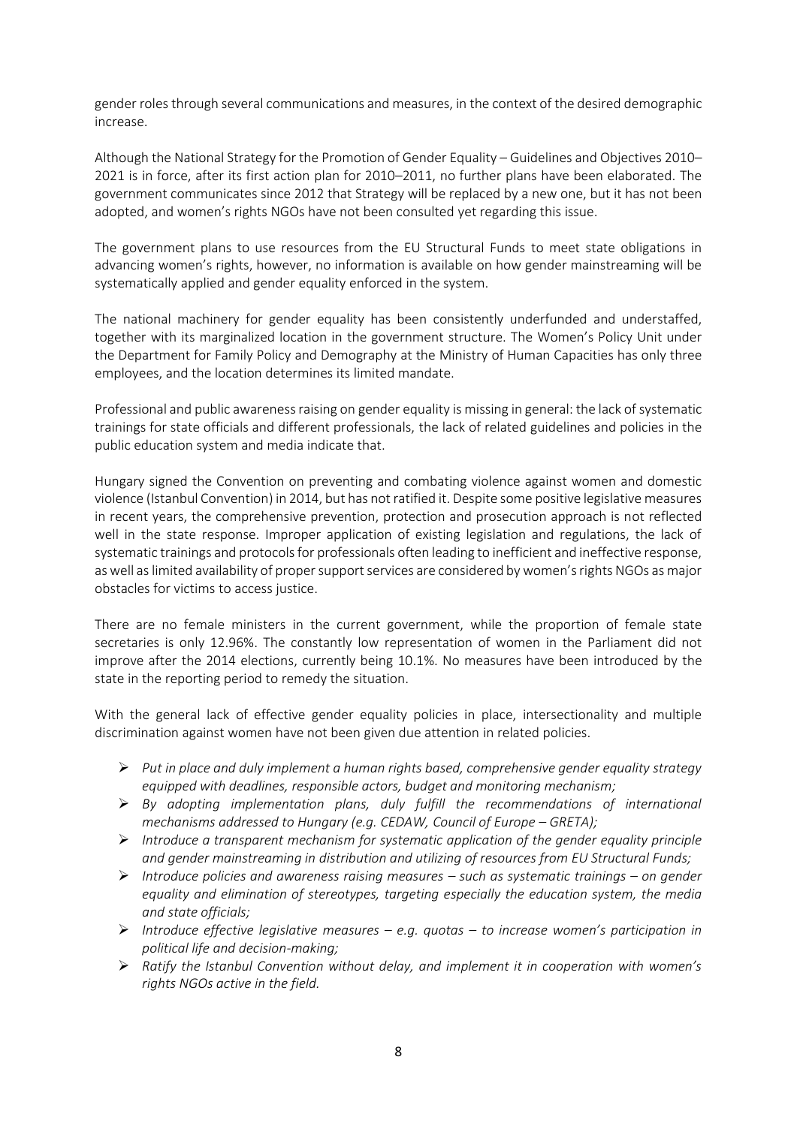gender roles through several communications and measures, in the context of the desired demographic increase.

Although the National Strategy for the Promotion of Gender Equality – Guidelines and Objectives 2010– 2021 is in force, after its first action plan for 2010–2011, no further plans have been elaborated. The government communicates since 2012 that Strategy will be replaced by a new one, but it has not been adopted, and women's rights NGOs have not been consulted yet regarding this issue.

The government plans to use resources from the EU Structural Funds to meet state obligations in advancing women's rights, however, no information is available on how gender mainstreaming will be systematically applied and gender equality enforced in the system.

The national machinery for gender equality has been consistently underfunded and understaffed, together with its marginalized location in the government structure. The Women's Policy Unit under the Department for Family Policy and Demography at the Ministry of Human Capacities has only three employees, and the location determines its limited mandate.

Professional and public awareness raising on gender equality is missing in general: the lack of systematic trainings for state officials and different professionals, the lack of related guidelines and policies in the public education system and media indicate that.

Hungary signed the Convention on preventing and combating violence against women and domestic violence (Istanbul Convention) in 2014, but has not ratified it. Despite some positive legislative measures in recent years, the comprehensive prevention, protection and prosecution approach is not reflected well in the state response. Improper application of existing legislation and regulations, the lack of systematic trainings and protocols for professionals often leading to inefficient and ineffective response, as well as limited availability of proper support services are considered by women's rights NGOs as major obstacles for victims to access justice.

There are no female ministers in the current government, while the proportion of female state secretaries is only 12.96%. The constantly low representation of women in the Parliament did not improve after the 2014 elections, currently being 10.1%. No measures have been introduced by the state in the reporting period to remedy the situation.

With the general lack of effective gender equality policies in place, intersectionality and multiple discrimination against women have not been given due attention in related policies.

- *Put in place and duly implement a human rights based, comprehensive gender equality strategy equipped with deadlines, responsible actors, budget and monitoring mechanism;*
- *By adopting implementation plans, duly fulfill the recommendations of international mechanisms addressed to Hungary (e.g. CEDAW, Council of Europe – GRETA);*
- *Introduce a transparent mechanism for systematic application of the gender equality principle and gender mainstreaming in distribution and utilizing of resources from EU Structural Funds;*
- *Introduce policies and awareness raising measures – such as systematic trainings – on gender equality and elimination of stereotypes, targeting especially the education system, the media and state officials;*
- *Introduce effective legislative measures – e.g. quotas – to increase women's participation in political life and decision-making;*
- *Ratify the Istanbul Convention without delay, and implement it in cooperation with women's rights NGOs active in the field.*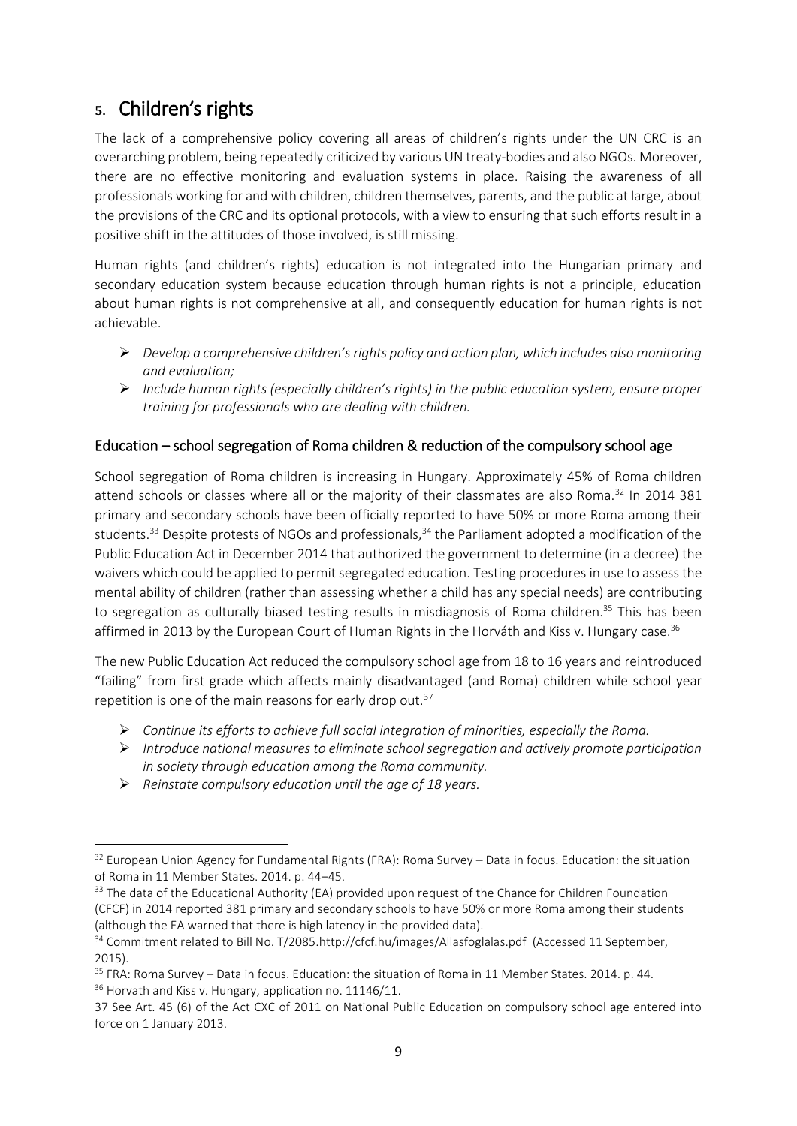# **5.** Children's rights

The lack of a comprehensive policy covering all areas of children's rights under the UN CRC is an overarching problem, being repeatedly criticized by various UN treaty-bodies and also NGOs. Moreover, there are no effective monitoring and evaluation systems in place. Raising the awareness of all professionals working for and with children, children themselves, parents, and the public at large, about the provisions of the CRC and its optional protocols, with a view to ensuring that such efforts result in a positive shift in the attitudes of those involved, is still missing.

Human rights (and children's rights) education is not integrated into the Hungarian primary and secondary education system because education through human rights is not a principle, education about human rights is not comprehensive at all, and consequently education for human rights is not achievable.

- *Develop a comprehensive children's rights policy and action plan, which includes also monitoring and evaluation;*
- *Include human rights (especially children's rights) in the public education system, ensure proper training for professionals who are dealing with children.*

# Education – school segregation of Roma children & reduction of the compulsory school age

School segregation of Roma children is increasing in Hungary. Approximately 45% of Roma children attend schools or classes where all or the majority of their classmates are also Roma.<sup>32</sup> In 2014 381 primary and secondary schools have been officially reported to have 50% or more Roma among their students.<sup>33</sup> Despite protests of NGOs and professionals.<sup>34</sup> the Parliament adopted a modification of the Public Education Act in December 2014 that authorized the government to determine (in a decree) the waivers which could be applied to permit segregated education. Testing procedures in use to assess the mental ability of children (rather than assessing whether a child has any special needs) are contributing to segregation as culturally biased testing results in misdiagnosis of Roma children.<sup>35</sup> This has been affirmed in 2013 by the European Court of Human Rights in the Horváth and Kiss v. Hungary case.<sup>36</sup>

The new Public Education Act reduced the compulsory school age from 18 to 16 years and reintroduced "failing" from first grade which affects mainly disadvantaged (and Roma) children while school year repetition is one of the main reasons for early drop out.<sup>37</sup>

- *Continue its efforts to achieve full social integration of minorities, especially the Roma.*
- *Introduce national measures to eliminate school segregation and actively promote participation in society through education among the Roma community.*
- *Reinstate compulsory education until the age of 18 years.*

1

<sup>32</sup> European Union Agency for Fundamental Rights (FRA): Roma Survey – Data in focus. Education: the situation of Roma in 11 Member States. 2014. p. 44–45.

 $33$  The data of the Educational Authority (EA) provided upon request of the Chance for Children Foundation (CFCF) in 2014 reported 381 primary and secondary schools to have 50% or more Roma among their students (although the EA warned that there is high latency in the provided data).

<sup>&</sup>lt;sup>34</sup> Commitment related to Bill No. T/2085[.http://cfcf.hu/images/Allasfoglalas.pdf](http://cfcf.hu/images/Allasfoglalas.pdf) (Accessed 11 September, 2015).

<sup>35</sup> FRA: Roma Survey – Data in focus. Education: the situation of Roma in 11 Member States. 2014. p. 44. <sup>36</sup> Horvath and Kiss v. Hungary, application no. 11146/11.

<sup>37</sup> See Art. 45 (6) of the Act CXC of 2011 on National Public Education on compulsory school age entered into force on 1 January 2013.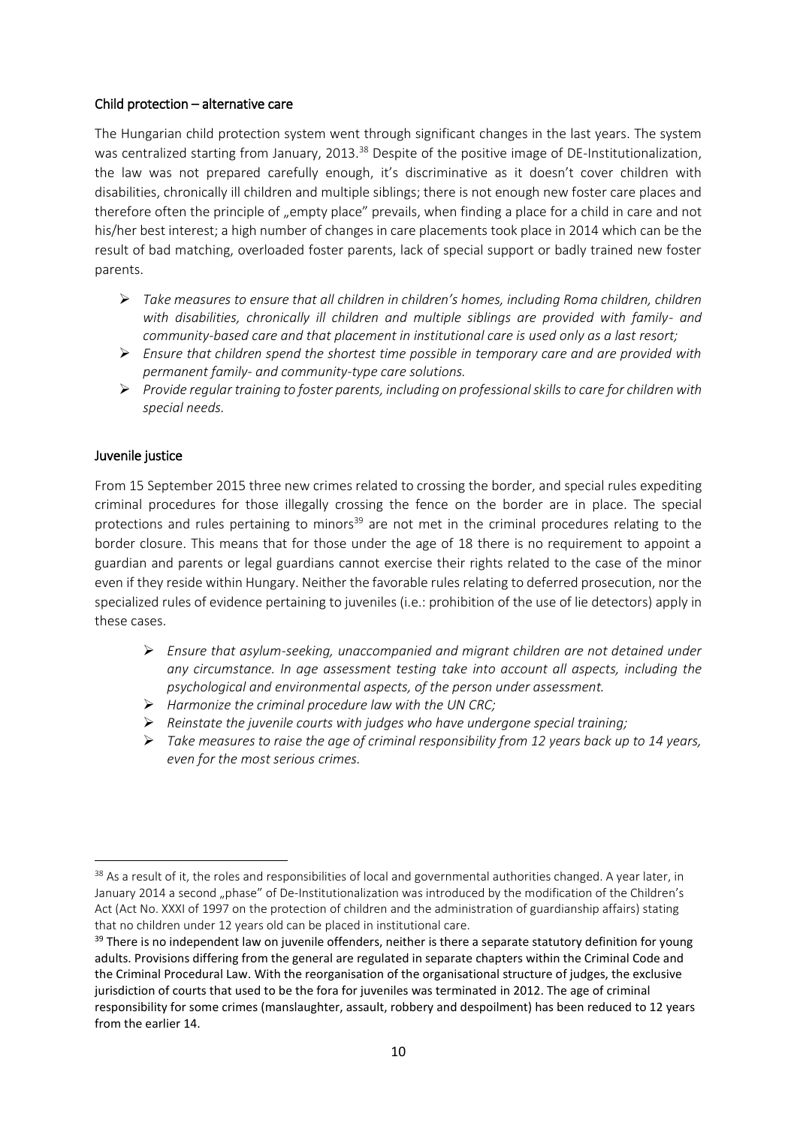#### Child protection – alternative care

The Hungarian child protection system went through significant changes in the last years. The system was centralized starting from January, 2013.<sup>38</sup> Despite of the positive image of DE-Institutionalization, the law was not prepared carefully enough, it's discriminative as it doesn't cover children with disabilities, chronically ill children and multiple siblings; there is not enough new foster care places and therefore often the principle of "empty place" prevails, when finding a place for a child in care and not his/her best interest; a high number of changes in care placements took place in 2014 which can be the result of bad matching, overloaded foster parents, lack of special support or badly trained new foster parents.

- *Take measures to ensure that all children in children's homes, including Roma children, children with disabilities, chronically ill children and multiple siblings are provided with family- and community-based care and that placement in institutional care is used only as a last resort;*
- *Ensure that children spend the shortest time possible in temporary care and are provided with permanent family- and community-type care solutions.*
- *Provide regular training to foster parents, including on professional skills to care for children with special needs.*

#### Juvenile justice

From 15 September 2015 three new crimes related to crossing the border, and special rules expediting criminal procedures for those illegally crossing the fence on the border are in place. The special protections and rules pertaining to minors<sup>39</sup> are not met in the criminal procedures relating to the border closure. This means that for those under the age of 18 there is no requirement to appoint a guardian and parents or legal guardians cannot exercise their rights related to the case of the minor even if they reside within Hungary. Neither the favorable rules relating to deferred prosecution, nor the specialized rules of evidence pertaining to juveniles (i.e.: prohibition of the use of lie detectors) apply in these cases.

- *Ensure that asylum-seeking, unaccompanied and migrant children are not detained under any circumstance. In age assessment testing take into account all aspects, including the psychological and environmental aspects, of the person under assessment.*
- *Harmonize the criminal procedure law with the UN CRC;*
- *Reinstate the juvenile courts with judges who have undergone special training;*
- *Take measures to raise the age of criminal responsibility from 12 years back up to 14 years, even for the most serious crimes.*

**<sup>.</sup>** <sup>38</sup> As a result of it, the roles and responsibilities of local and governmental authorities changed. A year later, in January 2014 a second "phase" of De-Institutionalization was introduced by the modification of the Children's Act (Act No. XXXI of 1997 on the protection of children and the administration of guardianship affairs) stating that no children under 12 years old can be placed in institutional care.

 $39$  There is no independent law on juvenile offenders, neither is there a separate statutory definition for young adults. Provisions differing from the general are regulated in separate chapters within the Criminal Code and the Criminal Procedural Law. With the reorganisation of the organisational structure of judges, the exclusive jurisdiction of courts that used to be the fora for juveniles was terminated in 2012. The age of criminal responsibility for some crimes (manslaughter, assault, robbery and despoilment) has been reduced to 12 years from the earlier 14.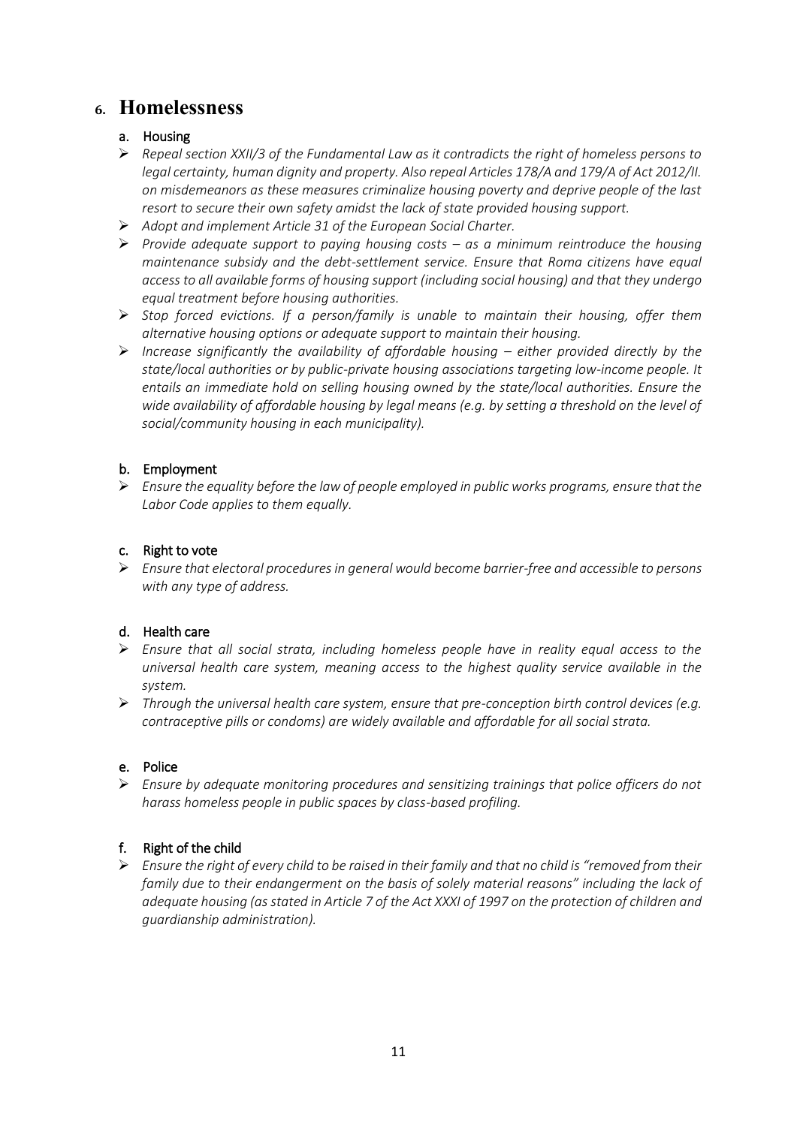# **6. Homelessness**

## a. Housing

- *Repeal section XXII/3 of the Fundamental Law as it contradicts the right of homeless persons to legal certainty, human dignity and property. Also repeal Articles 178/A and 179/A of Act 2012/II. on misdemeanors as these measures criminalize housing poverty and deprive people of the last resort to secure their own safety amidst the lack of state provided housing support.*
- *Adopt and implement Article 31 of the European Social Charter.*
- *Provide adequate support to paying housing costs – as a minimum reintroduce the housing maintenance subsidy and the debt-settlement service. Ensure that Roma citizens have equal access to all available forms of housing support (including social housing) and that they undergo equal treatment before housing authorities.*
- *Stop forced evictions. If a person/family is unable to maintain their housing, offer them alternative housing options or adequate support to maintain their housing.*
- *Increase significantly the availability of affordable housing – either provided directly by the state/local authorities or by public-private housing associations targeting low-income people. It entails an immediate hold on selling housing owned by the state/local authorities. Ensure the wide availability of affordable housing by legal means (e.g. by setting a threshold on the level of social/community housing in each municipality).*

### b. Employment

 *Ensure the equality before the law of people employed in public works programs, ensure that the Labor Code applies to them equally.* 

## c. Right to vote

 *Ensure that electoral procedures in general would become barrier-free and accessible to persons with any type of address.* 

### d. Health care

- *Ensure that all social strata, including homeless people have in reality equal access to the universal health care system, meaning access to the highest quality service available in the system.*
- *Through the universal health care system, ensure that pre-conception birth control devices (e.g. contraceptive pills or condoms) are widely available and affordable for all social strata.*

### e. Police

 *Ensure by adequate monitoring procedures and sensitizing trainings that police officers do not harass homeless people in public spaces by class-based profiling.* 

## f. Right of the child

 *Ensure the right of every child to be raised in their family and that no child is "removed from their family due to their endangerment on the basis of solely material reasons" including the lack of adequate housing (as stated in Article 7 of the Act XXXI of 1997 on the protection of children and guardianship administration).*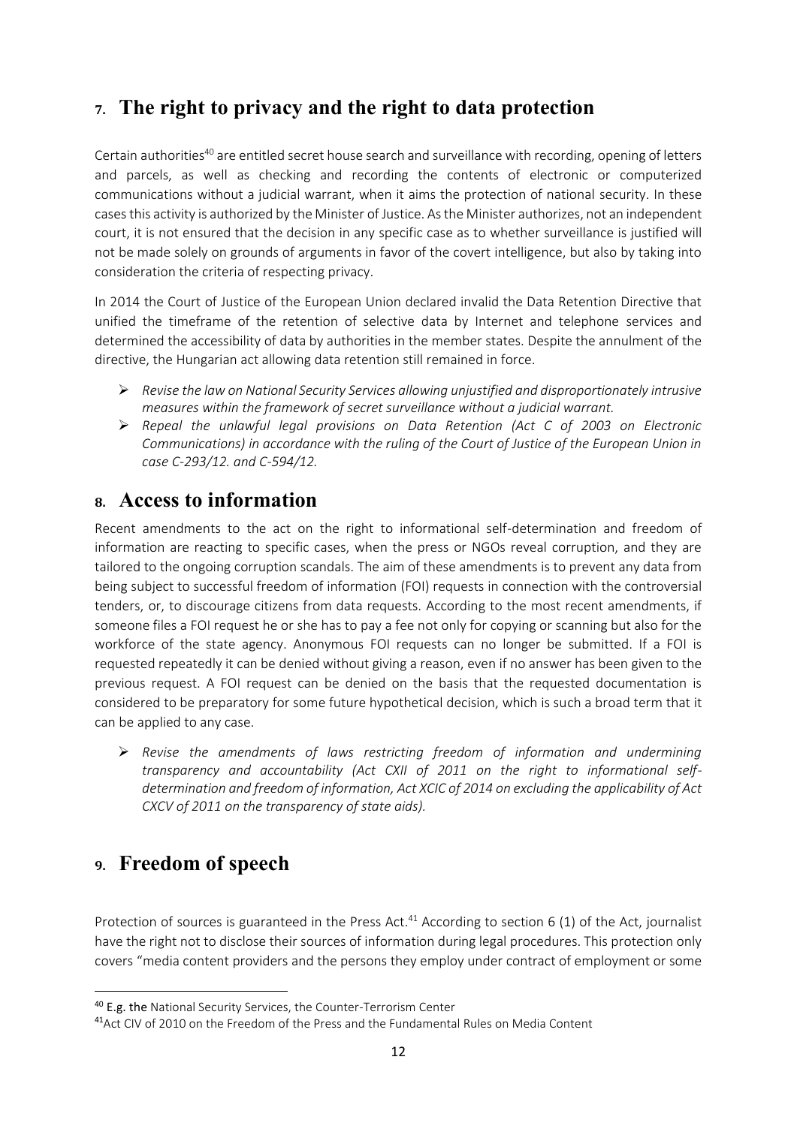# **7. The right to privacy and the right to data protection**

Certain authorities<sup>40</sup> are entitled secret house search and surveillance with recording, opening of letters and parcels, as well as checking and recording the contents of electronic or computerized communications without a judicial warrant, when it aims the protection of national security. In these cases this activity is authorized by the Minister of Justice. As the Minister authorizes, not an independent court, it is not ensured that the decision in any specific case as to whether surveillance is justified will not be made solely on grounds of arguments in favor of the covert intelligence, but also by taking into consideration the criteria of respecting privacy.

In 2014 the Court of Justice of the European Union declared invalid the Data Retention Directive that unified the timeframe of the retention of selective data by Internet and telephone services and determined the accessibility of data by authorities in the member states. Despite the annulment of the directive, the Hungarian act allowing data retention still remained in force.

- *Revise the law on National Security Services allowing unjustified and disproportionately intrusive measures within the framework of secret surveillance without a judicial warrant.*
- *Repeal the unlawful legal provisions on Data Retention (Act C of 2003 on Electronic Communications) in accordance with the ruling of the Court of Justice of the European Union in case C-293/12. and C-594/12.*

# **8. Access to information**

Recent amendments to the act on the right to informational self-determination and freedom of information are reacting to specific cases, when the press or NGOs reveal corruption, and they are tailored to the ongoing corruption scandals. The aim of these amendments is to prevent any data from being subject to successful freedom of information (FOI) requests in connection with the controversial tenders, or, to discourage citizens from data requests. According to the most recent amendments, if someone files a FOI request he or she has to pay a fee not only for copying or scanning but also for the workforce of the state agency. Anonymous FOI requests can no longer be submitted. If a FOI is requested repeatedly it can be denied without giving a reason, even if no answer has been given to the previous request. A FOI request can be denied on the basis that the requested documentation is considered to be preparatory for some future hypothetical decision, which is such a broad term that it can be applied to any case.

 *Revise the amendments of laws restricting freedom of information and undermining transparency and accountability (Act CXII of 2011 on the right to informational selfdetermination and freedom of information, Act XCIC of 2014 on excluding the applicability of Act CXCV of 2011 on the transparency of state aids).*

# **9. Freedom of speech**

1

Protection of sources is guaranteed in the Press Act. $41$  According to section 6 (1) of the Act, journalist have the right not to disclose their sources of information during legal procedures. This protection only covers "media content providers and the persons they employ under contract of employment or some

<sup>&</sup>lt;sup>40</sup> E.g. the National Security Services, the Counter-Terrorism Center

<sup>41</sup>Act CIV of 2010 on the Freedom of the Press and the Fundamental Rules on Media Content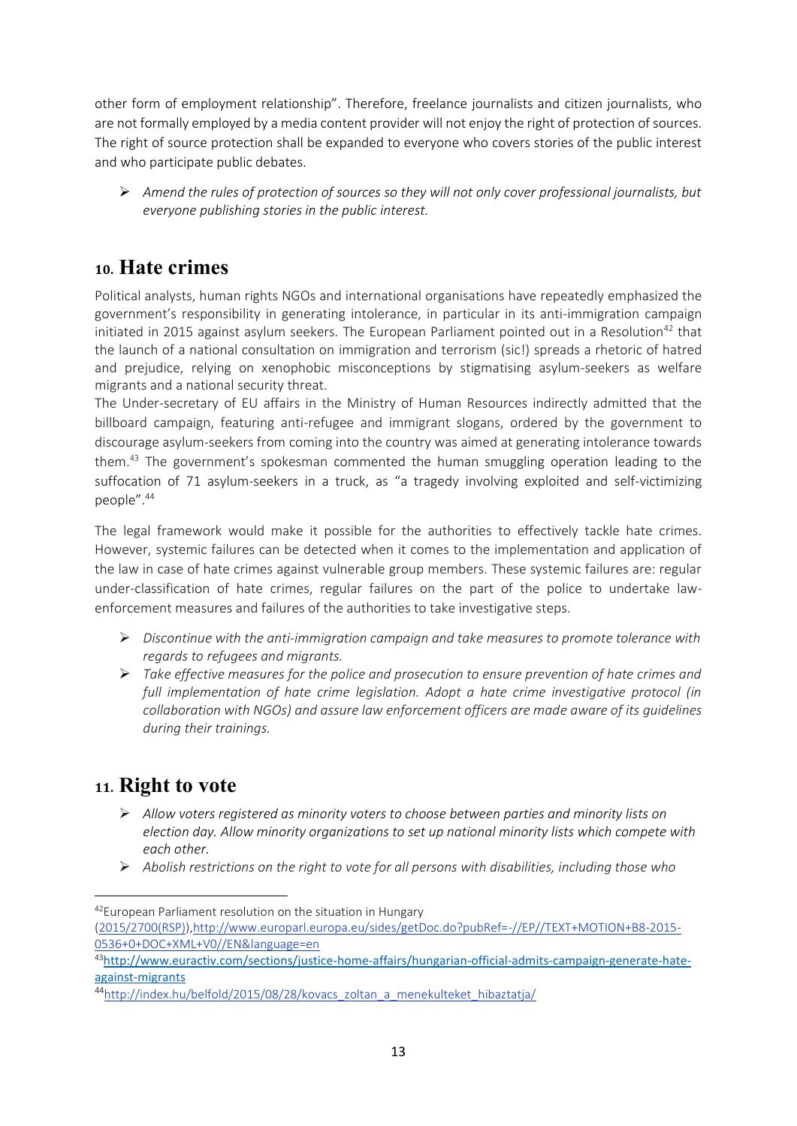other form of employment relationship". Therefore, freelance journalists and citizen journalists, who are not formally employed by a media content provider will not enjoy the right of protection of sources. The right of source protection shall be expanded to everyone who covers stories of the public interest and who participate public debates.

 *Amend the rules of protection of sources so they will not only cover professional journalists, but everyone publishing stories in the public interest.*

# **10. Hate crimes**

Political analysts, human rights NGOs and international organisations have repeatedly emphasized the government's responsibility in generating intolerance, in particular in its anti-immigration campaign initiated in 2015 against asylum seekers. The European Parliament pointed out in a Resolution<sup>42</sup> that the launch of a national consultation on immigration and terrorism (sic!) spreads a rhetoric of hatred and prejudice, relying on xenophobic misconceptions by stigmatising asylum-seekers as welfare migrants and a national security threat.

The Under-secretary of EU affairs in the Ministry of Human Resources indirectly admitted that the billboard campaign, featuring anti-refugee and immigrant slogans, ordered by the government to discourage asylum-seekers from coming into the country was aimed at generating intolerance towards them.<sup>43</sup> The government's spokesman commented the human smuggling operation leading to the suffocation of 71 asylum-seekers in a truck, as "a tragedy involving exploited and self-victimizing people". 44

The legal framework would make it possible for the authorities to effectively tackle hate crimes. However, systemic failures can be detected when it comes to the implementation and application of the law in case of hate crimes against vulnerable group members. These systemic failures are: regular under-classification of hate crimes, regular failures on the part of the police to undertake lawenforcement measures and failures of the authorities to take investigative steps.

- *Discontinue with the anti-immigration campaign and take measures to promote tolerance with regards to refugees and migrants.*
- *Take effective measures for the police and prosecution to ensure prevention of hate crimes and full implementation of hate crime legislation. Adopt a hate crime investigative protocol (in collaboration with NGOs) and assure law enforcement officers are made aware of its guidelines during their trainings.*

# **11. Right to vote**

1

- *Allow voters registered as minority voters to choose between parties and minority lists on election day. Allow minority organizations to set up national minority lists which compete with each other.*
- *Abolish restrictions on the right to vote for all persons with disabilities, including those who*

<sup>42</sup>European Parliament resolution on the situation in Hungary [\(2015/2700\(RSP\)\)](http://www.europarl.europa.eu/oeil/popups/ficheprocedure.do?lang=en&reference=2015/2700(RSP))[,http://www.europarl.europa.eu/sides/getDoc.do?pubRef=-//EP//TEXT+MOTION+B8-2015-](http://www.europarl.europa.eu/sides/getDoc.do?pubRef=-//EP//TEXT+MOTION+B8-2015-0536+0+DOC+XML+V0//EN&language=en) [0536+0+DOC+XML+V0//EN&language=en](http://www.europarl.europa.eu/sides/getDoc.do?pubRef=-//EP//TEXT+MOTION+B8-2015-0536+0+DOC+XML+V0//EN&language=en)

<sup>43</sup>[http://www.euractiv.com/sections/justice-home-affairs/hungarian-official-admits-campaign-generate-hate](http://www.euractiv.com/sections/justice-home-affairs/hungarian-official-admits-campaign-generate-hate-against-migrants)[against-migrants](http://www.euractiv.com/sections/justice-home-affairs/hungarian-official-admits-campaign-generate-hate-against-migrants)

<sup>44</sup>[http://index.hu/belfold/2015/08/28/kovacs\\_zoltan\\_a\\_menekulteket\\_hibaztatja/](http://index.hu/belfold/2015/08/28/kovacs_zoltan_a_menekulteket_hibaztatja/)